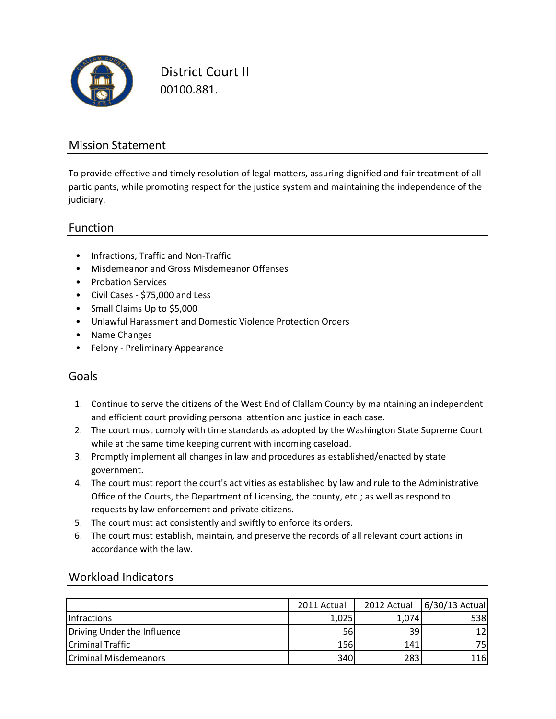

District Court II 00100.881.

### Mission Statement

To provide effective and timely resolution of legal matters, assuring dignified and fair treatment of all participants, while promoting respect for the justice system and maintaining the independence of the judiciary.

### Function

- Infractions; Traffic and Non-Traffic
- Misdemeanor and Gross Misdemeanor Offenses
- Probation Services
- Civil Cases \$75,000 and Less
- Small Claims Up to \$5,000
- Unlawful Harassment and Domestic Violence Protection Orders
- Name Changes
- Felony Preliminary Appearance

### Goals

- 1. Continue to serve the citizens of the West End of Clallam County by maintaining an independent and efficient court providing personal attention and justice in each case.
- 2. The court must comply with time standards as adopted by the Washington State Supreme Court while at the same time keeping current with incoming caseload.
- 3. Promptly implement all changes in law and procedures as established/enacted by state government.
- 4. The court must report the court's activities as established by law and rule to the Administrative Office of the Courts, the Department of Licensing, the county, etc.; as well as respond to requests by law enforcement and private citizens.
- 5. The court must act consistently and swiftly to enforce its orders.
- 6. The court must establish, maintain, and preserve the records of all relevant court actions in accordance with the law.

|                              | 2011 Actual | 2012 Actual | $6/30/13$ Actual |
|------------------------------|-------------|-------------|------------------|
| <b>Infractions</b>           | 1,025       | 1,074       | 538              |
| Driving Under the Influence  | 56          | 39          |                  |
| Criminal Traffic             | 156         | 141         | 751              |
| <b>Criminal Misdemeanors</b> | 340         | 283         | 116              |

### Workload Indicators